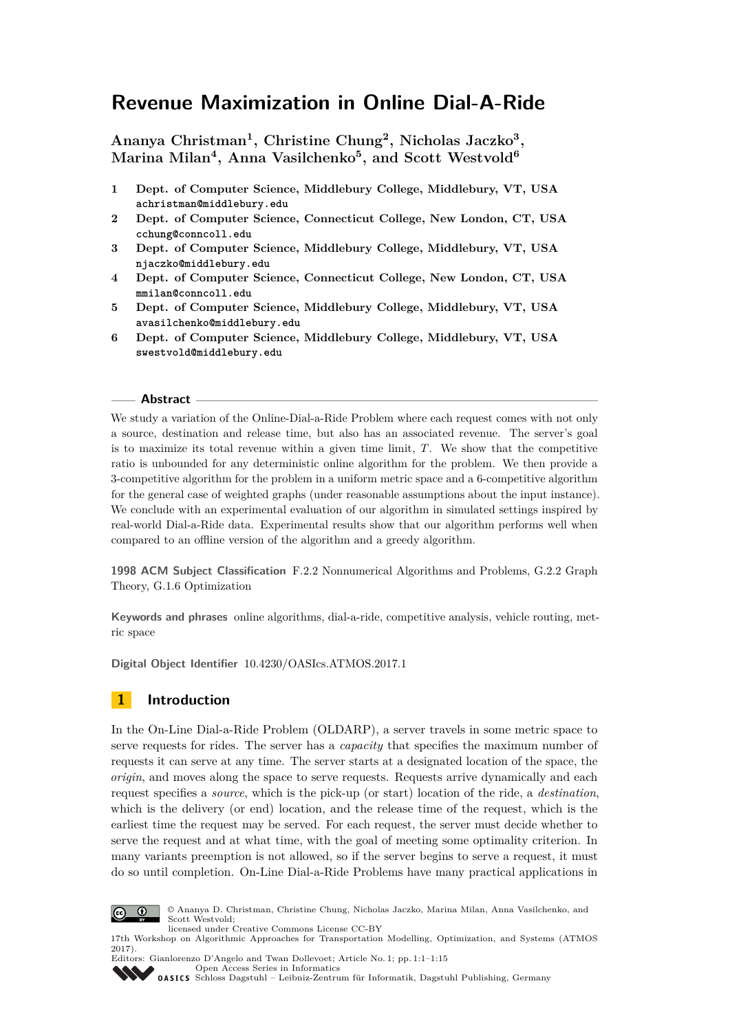# **Revenue Maximization in Online Dial-A-Ride**

**Ananya Christman<sup>1</sup> , Christine Chung<sup>2</sup> , Nicholas Jaczko<sup>3</sup> , Marina Milan<sup>4</sup> , Anna Vasilchenko<sup>5</sup> , and Scott Westvold<sup>6</sup>**

- **1 Dept. of Computer Science, Middlebury College, Middlebury, VT, USA achristman@middlebury.edu**
- **2 Dept. of Computer Science, Connecticut College, New London, CT, USA cchung@conncoll.edu**
- **3 Dept. of Computer Science, Middlebury College, Middlebury, VT, USA njaczko@middlebury.edu**
- **4 Dept. of Computer Science, Connecticut College, New London, CT, USA mmilan@conncoll.edu**
- **5 Dept. of Computer Science, Middlebury College, Middlebury, VT, USA avasilchenko@middlebury.edu**
- **6 Dept. of Computer Science, Middlebury College, Middlebury, VT, USA swestvold@middlebury.edu**

### **Abstract**

We study a variation of the Online-Dial-a-Ride Problem where each request comes with not only a source, destination and release time, but also has an associated revenue. The server's goal is to maximize its total revenue within a given time limit, *T*. We show that the competitive ratio is unbounded for any deterministic online algorithm for the problem. We then provide a 3-competitive algorithm for the problem in a uniform metric space and a 6-competitive algorithm for the general case of weighted graphs (under reasonable assumptions about the input instance). We conclude with an experimental evaluation of our algorithm in simulated settings inspired by real-world Dial-a-Ride data. Experimental results show that our algorithm performs well when compared to an offline version of the algorithm and a greedy algorithm.

**1998 ACM Subject Classification** F.2.2 Nonnumerical Algorithms and Problems, G.2.2 Graph Theory, G.1.6 Optimization

**Keywords and phrases** online algorithms, dial-a-ride, competitive analysis, vehicle routing, metric space

**Digital Object Identifier** [10.4230/OASIcs.ATMOS.2017.1](http://dx.doi.org/10.4230/OASIcs.ATMOS.2017.1)

# **1 Introduction**

In the On-Line Dial-a-Ride Problem (OLDARP), a server travels in some metric space to serve requests for rides. The server has a *capacity* that specifies the maximum number of requests it can serve at any time. The server starts at a designated location of the space, the *origin*, and moves along the space to serve requests. Requests arrive dynamically and each request specifies a *source*, which is the pick-up (or start) location of the ride, a *destination*, which is the delivery (or end) location, and the release time of the request, which is the earliest time the request may be served. For each request, the server must decide whether to serve the request and at what time, with the goal of meeting some optimality criterion. In many variants preemption is not allowed, so if the server begins to serve a request, it must do so until completion. On-Line Dial-a-Ride Problems have many practical applications in



© Ananya D. Christman, Christine Chung, Nicholas Jaczko, Marina Milan, Anna Vasilchenko, and Scott Westvold; licensed under Creative Commons License CC-BY

17th Workshop on Algorithmic Approaches for Transportation Modelling, Optimization, and Systems (ATMOS 2017). Editors: Gianlorenzo D'Angelo and Twan Dollevoet; Article No. 1; pp. 1:1–1[:15](#page-14-0)

[Open Access Series in Informatics](http://www.dagstuhl.de/oasics/) [Schloss Dagstuhl – Leibniz-Zentrum für Informatik, Dagstuhl Publishing, Germany](http://www.dagstuhl.de)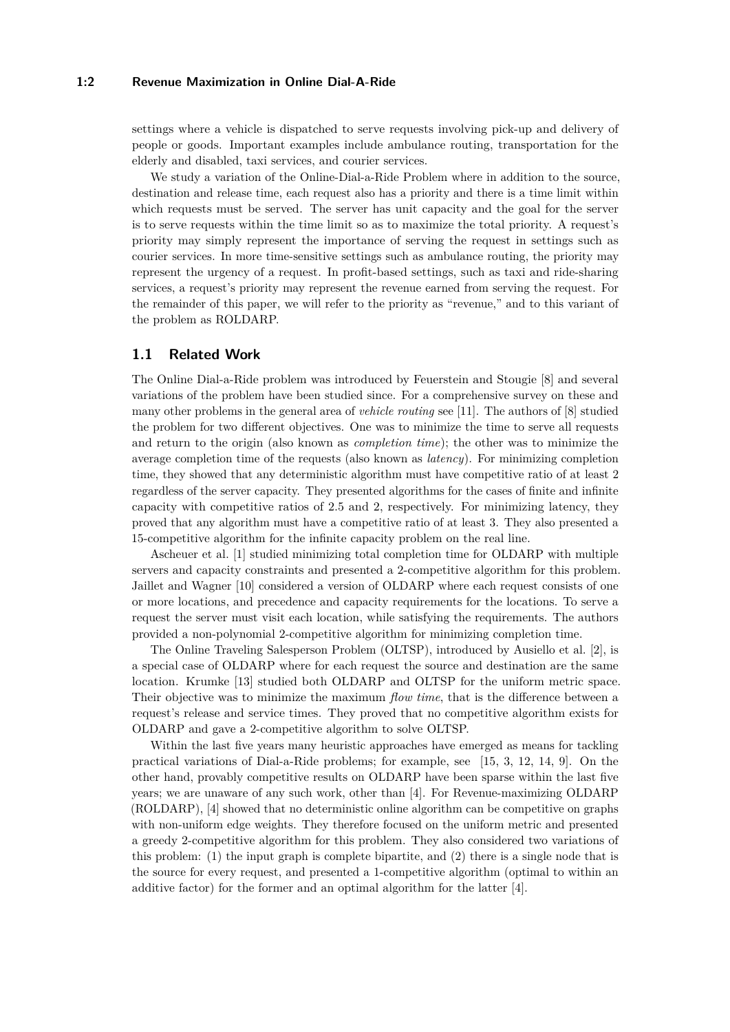### **1:2 Revenue Maximization in Online Dial-A-Ride**

settings where a vehicle is dispatched to serve requests involving pick-up and delivery of people or goods. Important examples include ambulance routing, transportation for the elderly and disabled, taxi services, and courier services.

We study a variation of the Online-Dial-a-Ride Problem where in addition to the source, destination and release time, each request also has a priority and there is a time limit within which requests must be served. The server has unit capacity and the goal for the server is to serve requests within the time limit so as to maximize the total priority. A request's priority may simply represent the importance of serving the request in settings such as courier services. In more time-sensitive settings such as ambulance routing, the priority may represent the urgency of a request. In profit-based settings, such as taxi and ride-sharing services, a request's priority may represent the revenue earned from serving the request. For the remainder of this paper, we will refer to the priority as "revenue," and to this variant of the problem as ROLDARP.

### **1.1 Related Work**

The Online Dial-a-Ride problem was introduced by Feuerstein and Stougie [\[8\]](#page-13-0) and several variations of the problem have been studied since. For a comprehensive survey on these and many other problems in the general area of *vehicle routing* see [\[11\]](#page-13-1). The authors of [\[8\]](#page-13-0) studied the problem for two different objectives. One was to minimize the time to serve all requests and return to the origin (also known as *completion time*); the other was to minimize the average completion time of the requests (also known as *latency*). For minimizing completion time, they showed that any deterministic algorithm must have competitive ratio of at least 2 regardless of the server capacity. They presented algorithms for the cases of finite and infinite capacity with competitive ratios of 2.5 and 2, respectively. For minimizing latency, they proved that any algorithm must have a competitive ratio of at least 3. They also presented a 15-competitive algorithm for the infinite capacity problem on the real line.

Ascheuer et al. [\[1\]](#page-13-2) studied minimizing total completion time for OLDARP with multiple servers and capacity constraints and presented a 2-competitive algorithm for this problem. Jaillet and Wagner [\[10\]](#page-13-3) considered a version of OLDARP where each request consists of one or more locations, and precedence and capacity requirements for the locations. To serve a request the server must visit each location, while satisfying the requirements. The authors provided a non-polynomial 2-competitive algorithm for minimizing completion time.

The Online Traveling Salesperson Problem (OLTSP), introduced by Ausiello et al. [\[2\]](#page-13-4), is a special case of OLDARP where for each request the source and destination are the same location. Krumke [\[13\]](#page-13-5) studied both OLDARP and OLTSP for the uniform metric space. Their objective was to minimize the maximum *flow time*, that is the difference between a request's release and service times. They proved that no competitive algorithm exists for OLDARP and gave a 2-competitive algorithm to solve OLTSP.

Within the last five years many heuristic approaches have emerged as means for tackling practical variations of Dial-a-Ride problems; for example, see [\[15,](#page-14-1) [3,](#page-13-6) [12,](#page-13-7) [14,](#page-14-2) [9\]](#page-13-8). On the other hand, provably competitive results on OLDARP have been sparse within the last five years; we are unaware of any such work, other than [\[4\]](#page-13-9). For Revenue-maximizing OLDARP (ROLDARP), [\[4\]](#page-13-9) showed that no deterministic online algorithm can be competitive on graphs with non-uniform edge weights. They therefore focused on the uniform metric and presented a greedy 2-competitive algorithm for this problem. They also considered two variations of this problem: (1) the input graph is complete bipartite, and (2) there is a single node that is the source for every request, and presented a 1-competitive algorithm (optimal to within an additive factor) for the former and an optimal algorithm for the latter [\[4\]](#page-13-9).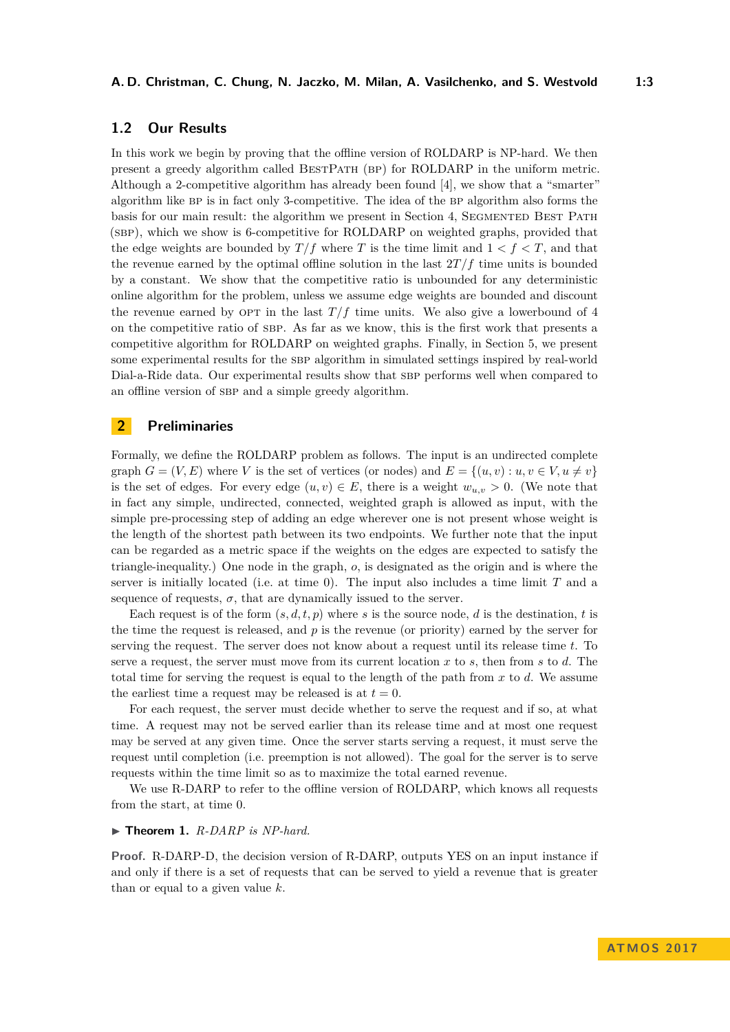# **1.2 Our Results**

In this work we begin by proving that the offline version of ROLDARP is NP-hard. We then present a greedy algorithm called BestPath (bp) for ROLDARP in the uniform metric. Although a 2-competitive algorithm has already been found [\[4\]](#page-13-9), we show that a "smarter" algorithm like BP is in fact only 3-competitive. The idea of the BP algorithm also forms the basis for our main result: the algorithm we present in Section [4,](#page-6-0) SEGMENTED BEST PATH (sbp), which we show is 6-competitive for ROLDARP on weighted graphs, provided that the edge weights are bounded by  $T/f$  where *T* is the time limit and  $1 < f < T$ , and that the revenue earned by the optimal offline solution in the last 2*T /f* time units is bounded by a constant. We show that the competitive ratio is unbounded for any deterministic online algorithm for the problem, unless we assume edge weights are bounded and discount the revenue earned by OPT in the last  $T/f$  time units. We also give a lowerbound of 4 on the competitive ratio of SBP. As far as we know, this is the first work that presents a competitive algorithm for ROLDARP on weighted graphs. Finally, in Section [5,](#page-10-0) we present some experimental results for the SBP algorithm in simulated settings inspired by real-world Dial-a-Ride data. Our experimental results show that SBP performs well when compared to an offline version of SBP and a simple greedy algorithm.

# **2 Preliminaries**

Formally, we define the ROLDARP problem as follows. The input is an undirected complete graph  $G = (V, E)$  where V is the set of vertices (or nodes) and  $E = \{(u, v) : u, v \in V, u \neq v\}$ is the set of edges. For every edge  $(u, v) \in E$ , there is a weight  $w_{u,v} > 0$ . (We note that in fact any simple, undirected, connected, weighted graph is allowed as input, with the simple pre-processing step of adding an edge wherever one is not present whose weight is the length of the shortest path between its two endpoints. We further note that the input can be regarded as a metric space if the weights on the edges are expected to satisfy the triangle-inequality.) One node in the graph, *o*, is designated as the origin and is where the server is initially located (i.e. at time 0). The input also includes a time limit *T* and a sequence of requests,  $\sigma$ , that are dynamically issued to the server.

Each request is of the form  $(s, d, t, p)$  where *s* is the source node, *d* is the destination, *t* is the time the request is released, and *p* is the revenue (or priority) earned by the server for serving the request. The server does not know about a request until its release time *t*. To serve a request, the server must move from its current location *x* to *s*, then from *s* to *d*. The total time for serving the request is equal to the length of the path from *x* to *d*. We assume the earliest time a request may be released is at  $t = 0$ .

For each request, the server must decide whether to serve the request and if so, at what time. A request may not be served earlier than its release time and at most one request may be served at any given time. Once the server starts serving a request, it must serve the request until completion (i.e. preemption is not allowed). The goal for the server is to serve requests within the time limit so as to maximize the total earned revenue.

We use R-DARP to refer to the offline version of ROLDARP, which knows all requests from the start, at time 0.

#### <span id="page-2-0"></span> $\blacktriangleright$  **Theorem 1.** *R-DARP is NP-hard.*

**Proof.** R-DARP-D, the decision version of R-DARP, outputs YES on an input instance if and only if there is a set of requests that can be served to yield a revenue that is greater than or equal to a given value *k*.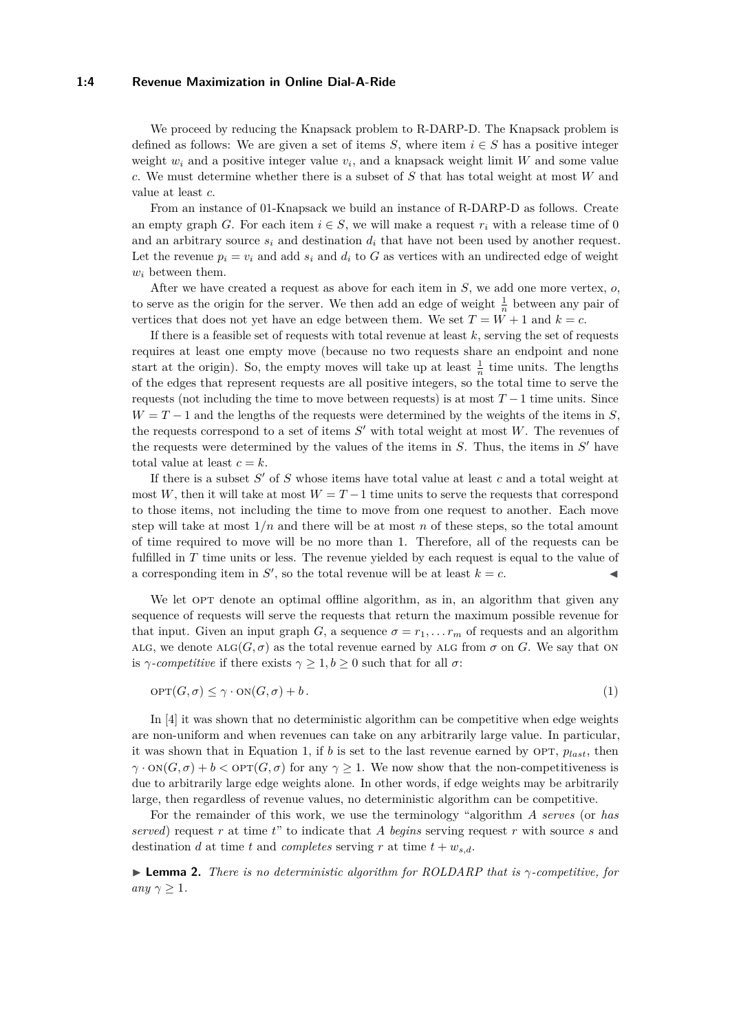#### **1:4 Revenue Maximization in Online Dial-A-Ride**

We proceed by reducing the Knapsack problem to R-DARP-D. The Knapsack problem is defined as follows: We are given a set of items  $S$ , where item  $i \in S$  has a positive integer weight  $w_i$  and a positive integer value  $v_i$ , and a knapsack weight limit  $W$  and some value *c*. We must determine whether there is a subset of *S* that has total weight at most *W* and value at least *c*.

From an instance of 01-Knapsack we build an instance of R-DARP-D as follows. Create an empty graph *G*. For each item  $i \in S$ , we will make a request  $r_i$  with a release time of 0 and an arbitrary source  $s_i$  and destination  $d_i$  that have not been used by another request. Let the revenue  $p_i = v_i$  and add  $s_i$  and  $d_i$  to G as vertices with an undirected edge of weight *w<sup>i</sup>* between them.

After we have created a request as above for each item in *S*, we add one more vertex, *o*, to serve as the origin for the server. We then add an edge of weight  $\frac{1}{n}$  between any pair of vertices that does not yet have an edge between them. We set  $T = W + 1$  and  $k = c$ .

If there is a feasible set of requests with total revenue at least *k*, serving the set of requests requires at least one empty move (because no two requests share an endpoint and none start at the origin). So, the empty moves will take up at least  $\frac{1}{n}$  time units. The lengths of the edges that represent requests are all positive integers, so the total time to serve the requests (not including the time to move between requests) is at most  $T-1$  time units. Since  $W = T - 1$  and the lengths of the requests were determined by the weights of the items in *S*, the requests correspond to a set of items  $S'$  with total weight at most  $W$ . The revenues of the requests were determined by the values of the items in  $S$ . Thus, the items in  $S'$  have total value at least  $c = k$ .

If there is a subset  $S'$  of  $S$  whose items have total value at least  $c$  and a total weight at most *W*, then it will take at most  $W = T - 1$  time units to serve the requests that correspond to those items, not including the time to move from one request to another. Each move step will take at most  $1/n$  and there will be at most n of these steps, so the total amount of time required to move will be no more than 1. Therefore, all of the requests can be fulfilled in *T* time units or less. The revenue yielded by each request is equal to the value of a corresponding item in  $S'$ , so the total revenue will be at least  $k = c$ .

We let OPT denote an optimal offline algorithm, as in, an algorithm that given any sequence of requests will serve the requests that return the maximum possible revenue for that input. Given an input graph *G*, a sequence  $\sigma = r_1, \ldots r_m$  of requests and an algorithm ALG, we denote  $\text{ALG}(G, \sigma)$  as the total revenue earned by ALG from  $\sigma$  on *G*. We say that on is *γ-competitive* if there exists  $\gamma \geq 1, b \geq 0$  such that for all  $\sigma$ :

<span id="page-3-0"></span>
$$
\text{OPT}(G,\sigma) \le \gamma \cdot \text{ON}(G,\sigma) + b. \tag{1}
$$

In [\[4\]](#page-13-9) it was shown that no deterministic algorithm can be competitive when edge weights are non-uniform and when revenues can take on any arbitrarily large value. In particular, it was shown that in Equation [1,](#page-3-0) if  $b$  is set to the last revenue earned by OPT,  $p_{last}$ , then  $\gamma \cdot \text{ON}(G, \sigma) + b < \text{OPT}(G, \sigma)$  for any  $\gamma \geq 1$ . We now show that the non-competitiveness is due to arbitrarily large edge weights alone. In other words, if edge weights may be arbitrarily large, then regardless of revenue values, no deterministic algorithm can be competitive.

For the remainder of this work, we use the terminology "algorithm *A serves* (or *has served*) request *r* at time *t*" to indicate that *A begins* serving request *r* with source *s* and destination *d* at time *t* and *completes* serving *r* at time  $t + w_{s,d}$ .

I **Lemma 2.** *There is no deterministic algorithm for ROLDARP that is γ-competitive, for any*  $\gamma \geq 1$ *.*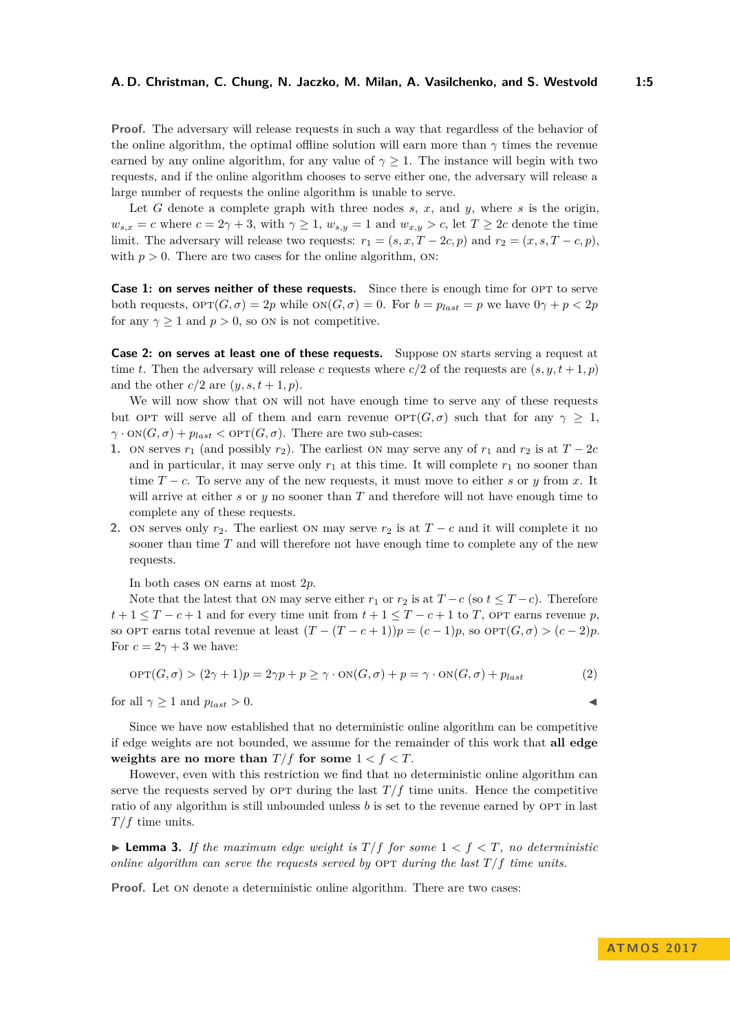**Proof.** The adversary will release requests in such a way that regardless of the behavior of the online algorithm, the optimal offline solution will earn more than  $\gamma$  times the revenue earned by any online algorithm, for any value of  $\gamma > 1$ . The instance will begin with two requests, and if the online algorithm chooses to serve either one, the adversary will release a large number of requests the online algorithm is unable to serve.

Let *G* denote a complete graph with three nodes  $s$ ,  $x$ , and  $y$ , where  $s$  is the origin,  $w_{s,x} = c$  where  $c = 2\gamma + 3$ , with  $\gamma \geq 1$ ,  $w_{s,y} = 1$  and  $w_{x,y} > c$ , let  $T \geq 2c$  denote the time limit. The adversary will release two requests:  $r_1 = (s, x, T - 2c, p)$  and  $r_2 = (x, s, T - c, p)$ , with  $p > 0$ . There are two cases for the online algorithm, ON:

**Case 1: on serves neither of these requests.** Since there is enough time for OPT to serve both requests,  $\text{OPT}(G, \sigma) = 2p$  while  $\text{ON}(G, \sigma) = 0$ . For  $b = p_{last} = p$  we have  $0\gamma + p < 2p$ for any  $\gamma \geq 1$  and  $p > 0$ , so ON is not competitive.

**Case 2: on serves at least one of these requests.** Suppose on starts serving a request at time *t*. Then the adversary will release *c* requests where  $c/2$  of the requests are  $(s, y, t + 1, p)$ and the other  $c/2$  are  $(y, s, t+1, p)$ .

We will now show that on will not have enough time to serve any of these requests but opt will serve all of them and earn revenue  $\text{OPT}(G,\sigma)$  such that for any  $\gamma \geq 1$ ,  $\gamma \cdot \text{ON}(G, \sigma) + p_{last} < \text{OPT}(G, \sigma)$ . There are two sub-cases:

- **1.** ON serves  $r_1$  (and possibly  $r_2$ ). The earliest ON may serve any of  $r_1$  and  $r_2$  is at  $T 2c$ and in particular, it may serve only  $r_1$  at this time. It will complete  $r_1$  no sooner than time  $T - c$ . To serve any of the new requests, it must move to either *s* or *y* from *x*. It will arrive at either *s* or *y* no sooner than *T* and therefore will not have enough time to complete any of these requests.
- **2.** ON serves only  $r_2$ . The earliest ON may serve  $r_2$  is at  $T c$  and it will complete it no sooner than time *T* and will therefore not have enough time to complete any of the new requests.

In both cases on earns at most 2*p*.

Note that the latest that  $\text{On may serve either } r_1 \text{ or } r_2 \text{ is at } T - c \text{ (so } t \leq T - c)$ . Therefore  $t+1 \leq T-c+1$  and for every time unit from  $t+1 \leq T-c+1$  to *T*, optr earns revenue *p*, so OPT earns total revenue at least  $(T - (T - c + 1))p = (c - 1)p$ , so  $\text{OPT}(G, \sigma) > (c - 2)p$ . For  $c = 2\gamma + 3$  we have:

$$
\text{OPT}(G,\sigma) > (2\gamma + 1)p = 2\gamma p + p \ge \gamma \cdot \text{ON}(G,\sigma) + p = \gamma \cdot \text{ON}(G,\sigma) + p_{last} \tag{2}
$$

for all  $\gamma \geq 1$  and  $p_{last} > 0$ .

Since we have now established that no deterministic online algorithm can be competitive if edge weights are not bounded, we assume for the remainder of this work that **all edge** weights are no more than  $T/f$  for some  $1 < f < T$ .

However, even with this restriction we find that no deterministic online algorithm can serve the requests served by OPT during the last  $T/f$  time units. Hence the competitive ratio of any algorithm is still unbounded unless  $b$  is set to the revenue earned by  $\overrightarrow{OPT}$  in last *T /f* time units.

<span id="page-4-0"></span>**I Lemma 3.** If the maximum edge weight is  $T/f$  for some  $1 < f < T$ , no deterministic *online algorithm can serve the requests served by* OPT *during the last*  $T/f$  *time units.* 

**Proof.** Let ON denote a deterministic online algorithm. There are two cases: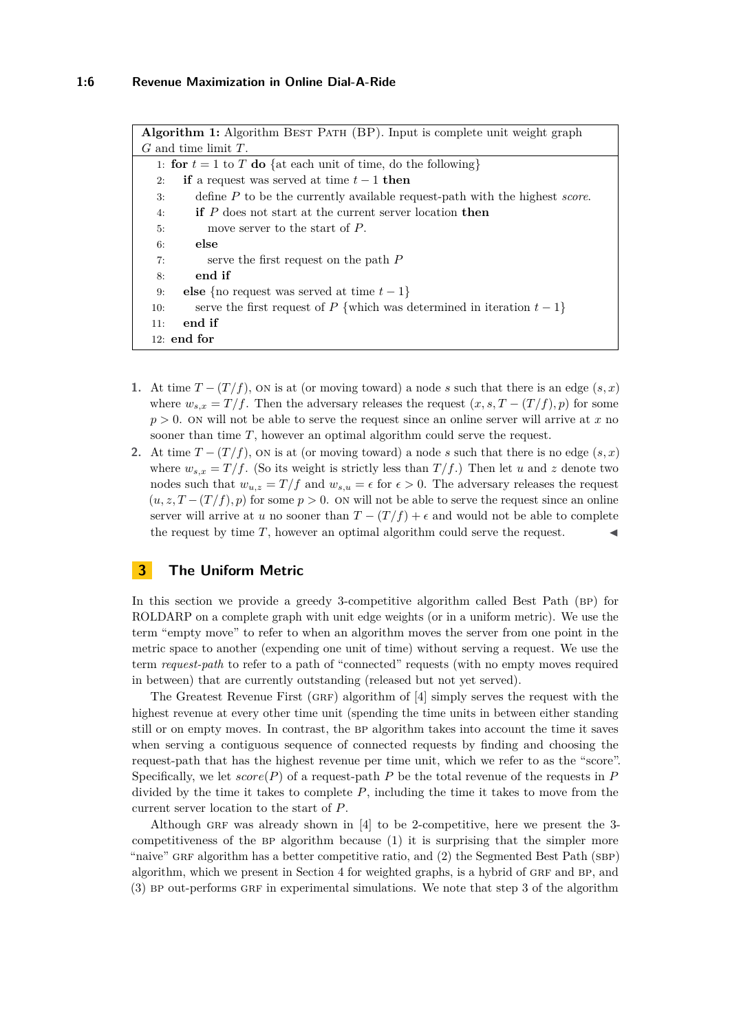| Algorithm 1: Algorithm BEST PATH (BP). Input is complete unit weight graph        |
|-----------------------------------------------------------------------------------|
| $G$ and time limit $T$ .                                                          |
| 1: for $t = 1$ to T do {at each unit of time, do the following}                   |
| <b>if</b> a request was served at time $t-1$ then<br>2:                           |
| define P to be the currently available request-path with the highest score.<br>3: |
| <b>if</b> P does not start at the current server location <b>then</b><br>4:       |
| move server to the start of $P$ .<br>5:                                           |
| else<br>6:                                                                        |
| serve the first request on the path $P$<br>7:                                     |
| end if<br>8:                                                                      |
| else {no request was served at time $t-1$ }<br>9:                                 |
| serve the first request of P {which was determined in iteration $t-1$ }<br>10:    |
| end if<br>11:                                                                     |
| $12:$ end for                                                                     |

- **1.** At time  $T (T/f)$ , on is at (or moving toward) a node *s* such that there is an edge  $(s, x)$ where  $w_{s,x} = T/f$ . Then the adversary releases the request  $(x, s, T - (T/f), p)$  for some  $p > 0$ . ON will not be able to serve the request since an online server will arrive at *x* no sooner than time *T*, however an optimal algorithm could serve the request.
- **2.** At time  $T (T/f)$ , on is at (or moving toward) a node *s* such that there is no edge  $(s, x)$ where  $w_{s,x} = T/f$ . (So its weight is strictly less than  $T/f$ .) Then let *u* and *z* denote two nodes such that  $w_{u,z} = T/f$  and  $w_{s,u} = \epsilon$  for  $\epsilon > 0$ . The adversary releases the request  $(u, z, T - (T/f), p)$  for some  $p > 0$ . ON will not be able to serve the request since an online server will arrive at *u* no sooner than  $T - (T/f) + \epsilon$  and would not be able to complete the request by time  $T$ , however an optimal algorithm could serve the request.

# **3 The Uniform Metric**

In this section we provide a greedy 3-competitive algorithm called Best Path (bp) for ROLDARP on a complete graph with unit edge weights (or in a uniform metric). We use the term "empty move" to refer to when an algorithm moves the server from one point in the metric space to another (expending one unit of time) without serving a request. We use the term *request-path* to refer to a path of "connected" requests (with no empty moves required in between) that are currently outstanding (released but not yet served).

The Greatest Revenue First (GRF) algorithm of [\[4\]](#page-13-9) simply serves the request with the highest revenue at every other time unit (spending the time units in between either standing still or on empty moves. In contrast, the bp algorithm takes into account the time it saves when serving a contiguous sequence of connected requests by finding and choosing the request-path that has the highest revenue per time unit, which we refer to as the "score". Specifically, we let  $score(P)$  of a request-path P be the total revenue of the requests in P divided by the time it takes to complete *P*, including the time it takes to move from the current server location to the start of *P*.

Although GRF was already shown in  $[4]$  to be 2-competitive, here we present the 3competitiveness of the  $BP$  algorithm because  $(1)$  it is surprising that the simpler more "naive" GRF algorithm has a better competitive ratio, and (2) the Segmented Best Path (SBP) algorithm, which we present in Section [4](#page-6-0) for weighted graphs, is a hybrid of GRF and  $BP$ , and  $(3)$  BP out-performs GRF in experimental simulations. We note that step 3 of the algorithm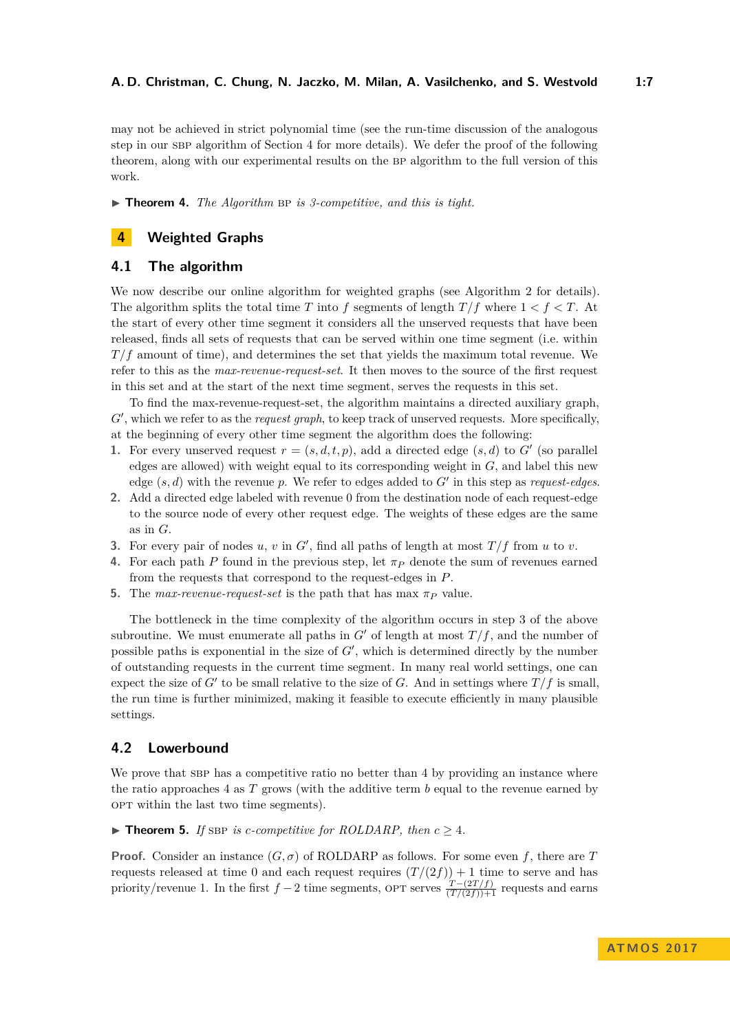may not be achieved in strict polynomial time (see the run-time discussion of the analogous step in our sbp algorithm of Section [4](#page-6-0) for more details). We defer the proof of the following theorem, along with our experimental results on the bp algorithm to the full version of this work.

▶ **Theorem 4.** *The Algorithm BP is 3-competitive, and this is tight.* 

# <span id="page-6-0"></span>**4 Weighted Graphs**

# **4.1 The algorithm**

We now describe our online algorithm for weighted graphs (see Algorithm [2](#page-7-0) for details). The algorithm splits the total time *T* into *f* segments of length  $T/f$  where  $1 < f < T$ . At the start of every other time segment it considers all the unserved requests that have been released, finds all sets of requests that can be served within one time segment (i.e. within *T /f* amount of time), and determines the set that yields the maximum total revenue. We refer to this as the *max-revenue-request-set*. It then moves to the source of the first request in this set and at the start of the next time segment, serves the requests in this set.

To find the max-revenue-request-set, the algorithm maintains a directed auxiliary graph, G', which we refer to as the *request graph*, to keep track of unserved requests. More specifically, at the beginning of every other time segment the algorithm does the following:

- **1.** For every unserved request  $r = (s, d, t, p)$ , add a directed edge  $(s, d)$  to  $G'$  (so parallel edges are allowed) with weight equal to its corresponding weight in *G*, and label this new edge  $(s, d)$  with the revenue  $p$ . We refer to edges added to  $G'$  in this step as *request-edges*.
- **2.** Add a directed edge labeled with revenue 0 from the destination node of each request-edge to the source node of every other request edge. The weights of these edges are the same as in *G*.
- **3.** For every pair of nodes  $u, v$  in  $G'$ , find all paths of length at most  $T/f$  from  $u$  to  $v$ .
- **4.** For each path *P* found in the previous step, let  $\pi_P$  denote the sum of revenues earned from the requests that correspond to the request-edges in *P*.
- **5.** The *max-revenue-request-set* is the path that has max  $\pi_P$  value.

The bottleneck in the time complexity of the algorithm occurs in step 3 of the above subroutine. We must enumerate all paths in  $G'$  of length at most  $T/f$ , and the number of possible paths is exponential in the size of  $G'$ , which is determined directly by the number of outstanding requests in the current time segment. In many real world settings, one can expect the size of  $G'$  to be small relative to the size of  $G$ . And in settings where  $T/f$  is small, the run time is further minimized, making it feasible to execute efficiently in many plausible settings.

### **4.2 Lowerbound**

We prove that s<sub>BP</sub> has a competitive ratio no better than 4 by providing an instance where the ratio approaches 4 as *T* grows (with the additive term *b* equal to the revenue earned by opt within the last two time segments).

#### ▶ **Theorem 5.** *If* SBP *is c*-competitive for ROLDARP, then  $c \geq 4$ .

**Proof.** Consider an instance (*G, σ*) of ROLDARP as follows. For some even *f*, there are *T* requests released at time 0 and each request requires  $(T/(2f)) + 1$  time to serve and has priority/revenue 1. In the first  $f-2$  time segments, OPT serves  $\frac{T-(2T/f)}{(T/(2f))+1}$  requests and earns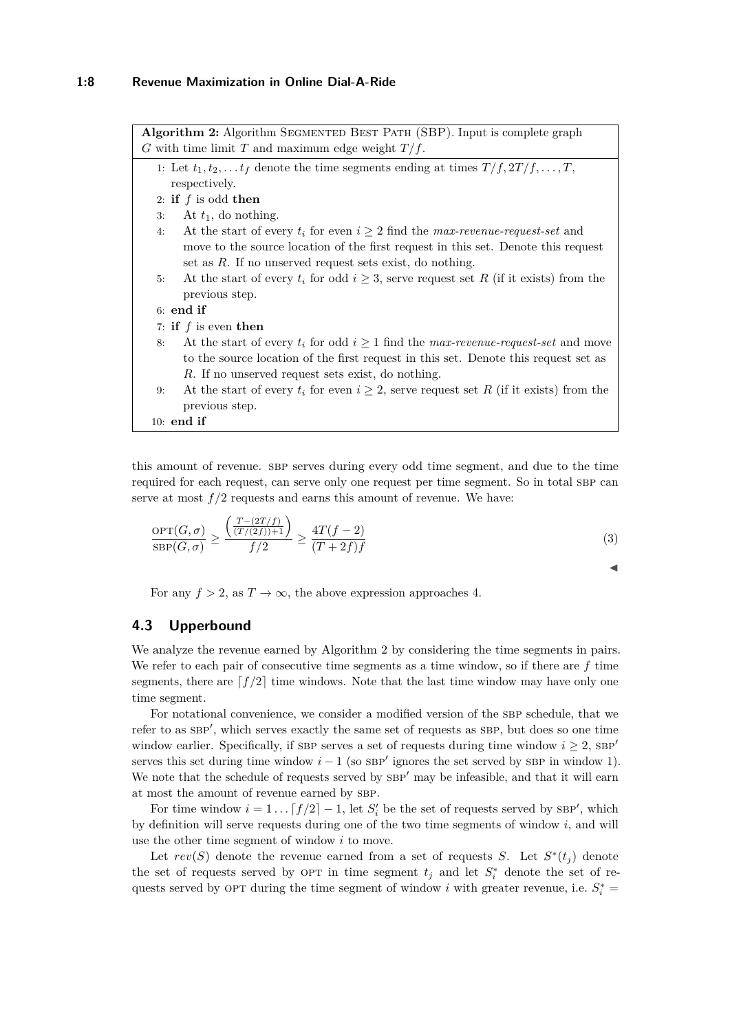#### **1:8 Revenue Maximization in Online Dial-A-Ride**

**Algorithm 2:** Algorithm SEGMENTED BEST PATH (SBP). Input is complete graph *G* with time limit *T* and maximum edge weight  $T/f$ .

- <span id="page-7-0"></span>1: Let  $t_1, t_2, \ldots t_f$  denote the time segments ending at times  $T/f$ ,  $2T/f$ ,  $\ldots$ ,  $T$ , respectively.
- 2: **if** *f* is odd **then**
- 3: At  $t_1$ , do nothing.
- 4: At the start of every  $t_i$  for even  $i \geq 2$  find the *max-revenue-request-set* and move to the source location of the first request in this set. Denote this request set as *R*. If no unserved request sets exist, do nothing.
- 5: At the start of every  $t_i$  for odd  $i \geq 3$ , serve request set R (if it exists) from the previous step.
- 6: **end if**
- 7: **if** *f* is even **then**
- 8: At the start of every  $t_i$  for odd  $i \geq 1$  find the *max-revenue-request-set* and move to the source location of the first request in this set. Denote this request set as *R*. If no unserved request sets exist, do nothing.
- 9: At the start of every  $t_i$  for even  $i \geq 2$ , serve request set R (if it exists) from the previous step.

10: **end if**

this amount of revenue. sbp serves during every odd time segment, and due to the time required for each request, can serve only one request per time segment. So in total SBP can serve at most  $f/2$  requests and earns this amount of revenue. We have:

$$
\frac{\text{OPT}(G,\sigma)}{\text{SBP}(G,\sigma)} \ge \frac{\left(\frac{T-(2T/f)}{(T/(2f))+1}\right)}{f/2} \ge \frac{4T(f-2)}{(T+2f)f}
$$
\n(3)

 $\blacktriangleleft$ 

For any  $f > 2$ , as  $T \to \infty$ , the above expression approaches 4.

### **4.3 Upperbound**

We analyze the revenue earned by Algorithm [2](#page-7-0) by considering the time segments in pairs. We refer to each pair of consecutive time segments as a time window, so if there are *f* time segments, there are  $f/2$  time windows. Note that the last time window may have only one time segment.

For notational convenience, we consider a modified version of the SBP schedule, that we refer to as SBP', which serves exactly the same set of requests as SBP, but does so one time window earlier. Specifically, if spp serves a set of requests during time window  $i \geq 2$ , spp<sup>p</sup> serves this set during time window  $i-1$  (so SBP' ignores the set served by SBP in window 1). We note that the schedule of requests served by  $SBP'$  may be infeasible, and that it will earn at most the amount of revenue earned by SBP.

For time window  $i = 1 \dots [f/2] - 1$ , let  $S_i'$  be the set of requests served by SBP', which by definition will serve requests during one of the two time segments of window *i*, and will use the other time segment of window *i* to move.

Let  $rev(S)$  denote the revenue earned from a set of requests *S*. Let  $S^*(t_j)$  denote the set of requests served by OPT in time segment  $t_j$  and let  $S_i^*$  denote the set of requests served by OPT during the time segment of window *i* with greater revenue, i.e.  $S_i^*$  =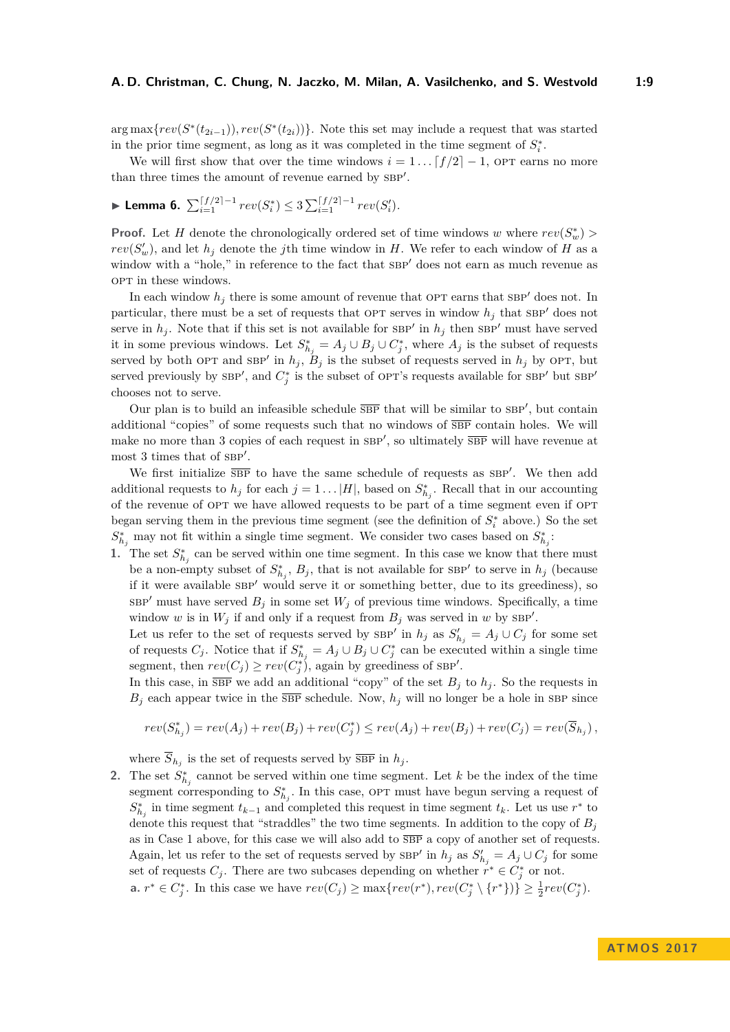$\arg \max \{rev(S^*(t_{2i-1})), rev(S^*(t_{2i}))\}.$  Note this set may include a request that was started in the prior time segment, as long as it was completed in the time segment of  $S_i^*$ .

We will first show that over the time windows  $i = 1 \dots [f/2] - 1$ , opt earns no more than three times the amount of revenue earned by SBP'.

<span id="page-8-0"></span>
$$
\blacktriangleright \textbf{ Lemma 6. } \sum_{i=1}^{\lceil f/2 \rceil - 1} rev(S_i^*) \leq 3 \sum_{i=1}^{\lceil f/2 \rceil - 1} rev(S_i').
$$

**Proof.** Let *H* denote the chronologically ordered set of time windows *w* where  $rev(S_w^*)$  >  $rev(S_w)$ , and let  $h_j$  denote the *j*th time window in *H*. We refer to each window of *H* as a window with a "hole," in reference to the fact that  $SBP'$  does not earn as much revenue as OPT in these windows.

In each window  $h_j$  there is some amount of revenue that OPT earns that SBP' does not. In particular, there must be a set of requests that OPT serves in window  $h_j$  that SBP' does not serve in  $h_j$ . Note that if this set is not available for SBP' in  $h_j$  then SBP' must have served it in some previous windows. Let  $S_{h_j}^* = A_j \cup B_j \cup C_j^*$ , where  $A_j$  is the subset of requests served by both OPT and SBP' in  $h_j$ ,  $B_j$  is the subset of requests served in  $h_j$  by OPT, but served previously by  $SBP'$ , and  $C_j^*$  is the subset of OPT's requests available for  $SBP'$  but  $SBP'$ chooses not to serve.

Our plan is to build an infeasible schedule  $\overline{\text{SBP}}$  that will be similar to  $\text{SBP}'$ , but contain additional "copies" of some requests such that no windows of  $\overline{\text{SBP}}$  contain holes. We will make no more than 3 copies of each request in  $SBP'$ , so ultimately  $\overline{SBP}$  will have revenue at most 3 times that of  $SBP'$ .

We first initialize  $\overline{\text{SBP}}$  to have the same schedule of requests as  $\text{SBP}'$ . We then add additional requests to  $h_j$  for each  $j = 1 \dots |H|$ , based on  $S^*_{h_j}$ . Recall that in our accounting of the revenue of OPT we have allowed requests to be part of a time segment even if OPT began serving them in the previous time segment (see the definition of  $S_i^*$  above.) So the set  $S_{h_j}^*$  may not fit within a single time segment. We consider two cases based on  $S_{h_j}^*$ :

**1.** The set  $S_{h_j}^*$  can be served within one time segment. In this case we know that there must be a non-empty subset of  $S^*_{h_j}, B_j$ , that is not available for SBP' to serve in  $h_j$  (because if it were available SBP' would serve it or something better, due to its greediness), so  $SBP'$  must have served  $B_j$  in some set  $W_j$  of previous time windows. Specifically, a time window *w* is in  $W_j$  if and only if a request from  $B_j$  was served in *w* by SBP'.

Let us refer to the set of requests served by  $SBP'$  in  $h_j$  as  $S'_{h_j} = A_j \cup C_j$  for some set of requests  $C_j$ . Notice that if  $S^*_{h_j} = A_j \cup B_j \cup C^*_j$  can be executed within a single time segment, then  $rev(C_j) \geq rev(C_j^*)$ , again by greediness of SBP'.

In this case, in  $\overline{\text{SBP}}$  we add an additional "copy" of the set  $B_j$  to  $h_j$ . So the requests in  $B_j$  each appear twice in the  $\overline{\text{SBP}}$  schedule. Now,  $h_j$  will no longer be a hole in SBP since

$$
rev(S^*_{h_j}) = rev(A_j) + rev(B_j) + rev(C^*_j) \leq rev(A_j) + rev(B_j) + rev(C_j) = rev(\overline{S}_{h_j}),
$$

where  $\overline{S}_{h_j}$  is the set of requests served by  $\overline{\text{SBP}}$  in  $h_j$ .

**2.** The set  $S^*_{h_j}$  cannot be served within one time segment. Let *k* be the index of the time segment corresponding to  $S^*_{h_j}$ . In this case, OPT must have begun serving a request of  $S_{h_j}^*$  in time segment  $t_{k-1}$  and completed this request in time segment  $t_k$ . Let us use  $r^*$  to denote this request that "straddles" the two time segments. In addition to the copy of *B<sup>j</sup>* as in Case 1 above, for this case we will also add to  $\overline{\text{SBP}}$  a copy of another set of requests. Again, let us refer to the set of requests served by  $SBP'$  in  $h_j$  as  $S'_{h_j} = A_j \cup C_j$  for some set of requests  $C_j$ . There are two subcases depending on whether  $r^* \in C_j^*$  or not. **a.**  $r^* \in C_j^*$ . In this case we have  $rev(C_j) \ge \max\{rev(r^*), rev(C_j^* \setminus \{r^*\})\} \ge \frac{1}{2}rev(C_j^*)$ .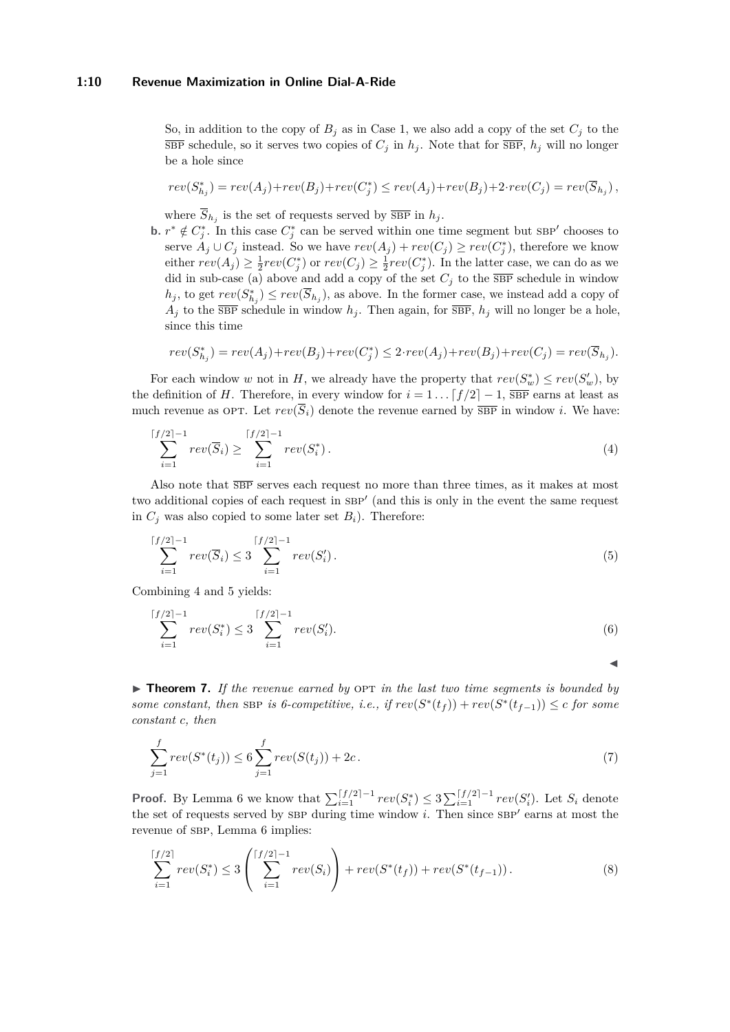So, in addition to the copy of  $B_i$  as in Case 1, we also add a copy of the set  $C_i$  to the  $\overline{\text{SBP}}$  schedule, so it serves two copies of  $C_i$  in  $h_i$ . Note that for  $\overline{\text{SBP}}$ ,  $h_i$  will no longer be a hole since

$$
rev(S^*_{h_j}) = rev(A_j) + rev(B_j) + rev(C^*_j) \leq rev(A_j) + rev(B_j) + 2 \cdot rev(C_j) = rev(\overline{S}_{h_j}),
$$

where  $\overline{S}_{h_j}$  is the set of requests served by  $\overline{\text{SBP}}$  in  $h_j$ .

**b.**  $r^* \notin C_j^*$ . In this case  $C_j^*$  can be served within one time segment but SBP' chooses to serve  $A_j \cup C_j$  instead. So we have  $rev(A_j) + rev(C_j) \geq rev(C_j^*)$ , therefore we know either  $rev(A_j) \geq \frac{1}{2}rev(C_j^*)$  or  $rev(C_j) \geq \frac{1}{2}rev(C_j^*)$ . In the latter case, we can do as we did in sub-case (a) above and add a copy of the set  $C_j$  to the  $\overline{\text{SBP}}$  schedule in window  $h_j$ , to get  $rev(S^*_{h_j}) \leq rev(\overline{S}_{h_j})$ , as above. In the former case, we instead add a copy of  $A_j$  to the  $\overline{\text{SBP}}$  schedule in window  $h_j$ . Then again, for  $\overline{\text{SBP}}$ ,  $h_j$  will no longer be a hole, since this time

<span id="page-9-0"></span>
$$
rev(S^*_{h_j}) = rev(A_j) + rev(B_j) + rev(C^*_j) \leq 2 \cdot rev(A_j) + rev(B_j) + rev(C_j) = rev(\overline{S}_{h_j}).
$$

For each window *w* not in *H*, we already have the property that  $rev(S_w^*) \leq rev(S_w^{\prime\prime})$ , by the definition of *H*. Therefore, in every window for  $i = 1 \dots [f/2] - 1$ ,  $\overline{SBP}$  earns at least as much revenue as OPT. Let  $rev(\overline{S}_i)$  denote the revenue earned by  $\overline{SBP}$  in window *i*. We have:

$$
\sum_{i=1}^{\lceil f/2 \rceil - 1} rev(\overline{S}_i) \ge \sum_{i=1}^{\lceil f/2 \rceil - 1} rev(S_i^*).
$$
\n(4)

Also note that  $\overline{\text{SBP}}$  serves each request no more than three times, as it makes at most two additional copies of each request in  $SBP'$  (and this is only in the event the same request in  $C_j$  was also copied to some later set  $B_i$ ). Therefore:

<span id="page-9-1"></span>
$$
\sum_{i=1}^{\lceil f/2 \rceil - 1} rev(\overline{S}_i) \le 3 \sum_{i=1}^{\lceil f/2 \rceil - 1} rev(S_i').
$$
\n(5)

Combining [4](#page-9-0) and [5](#page-9-1) yields:

$$
\sum_{i=1}^{\lceil f/2 \rceil - 1} rev(S_i^*) \le 3 \sum_{i=1}^{\lceil f/2 \rceil - 1} rev(S_i').
$$
\n(6)

▶ Theorem 7. If the revenue earned by OPT in the last two time segments is bounded by *some constant, then* SBP *is 6-competitive, i.e., if*  $rev(S^*(t_f)) + rev(S^*(t_{f-1})) \leq c$  *for some constant c, then*

$$
\sum_{j=1}^{f} rev(S^*(t_j)) \le 6 \sum_{j=1}^{f} rev(S(t_j)) + 2c.
$$
\n(7)

**Proof.** By Lemma [6](#page-8-0) we know that  $\sum_{i=1}^{\lceil f/2 \rceil-1} rev(S_i^*) \leq 3 \sum_{i=1}^{\lceil f/2 \rceil-1} rev(S_i')$ . Let  $S_i$  denote the set of requests served by  $SBP$  during time window *i*. Then since  $SBP'$  earns at most the revenue of SBP, Lemma [6](#page-8-0) implies:

<span id="page-9-2"></span>
$$
\sum_{i=1}^{\lceil f/2 \rceil} rev(S_i^*) \le 3 \left( \sum_{i=1}^{\lceil f/2 \rceil - 1} rev(S_i) \right) + rev(S^*(t_f)) + rev(S^*(t_{f-1})). \tag{8}
$$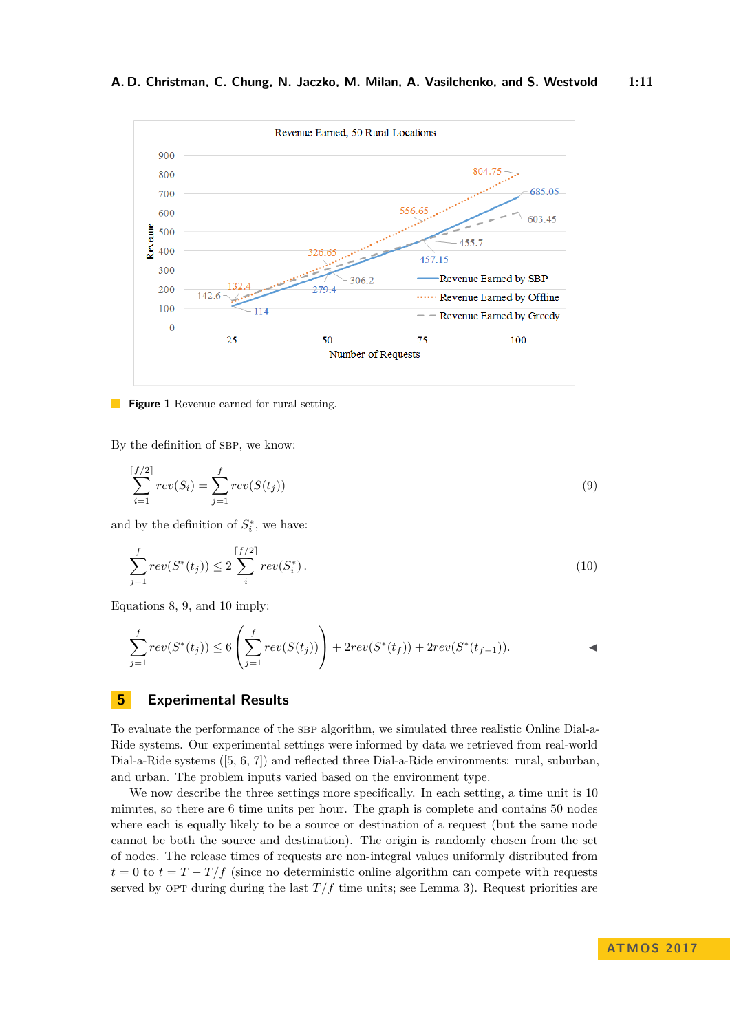<span id="page-10-3"></span>

**Figure 1** Revenue earned for rural setting.

By the definition of SBP, we know:

<span id="page-10-1"></span>
$$
\sum_{i=1}^{\lceil f/2 \rceil} rev(S_i) = \sum_{j=1}^f rev(S(t_j))
$$
\n(9)

and by the definition of  $S_i^*$ , we have:

<span id="page-10-2"></span>
$$
\sum_{j=1}^{f} rev(S^*(t_j)) \le 2 \sum_{i}^{[f/2]} rev(S_i^*)
$$
 (10)

Equations [8,](#page-9-2) [9,](#page-10-1) and [10](#page-10-2) imply:

$$
\sum_{j=1}^{f} rev(S^*(t_j)) \le 6 \left( \sum_{j=1}^{f} rev(S(t_j)) \right) + 2rev(S^*(t_f)) + 2rev(S^*(t_{f-1})).
$$

### <span id="page-10-0"></span>**5 Experimental Results**

To evaluate the performance of the SBP algorithm, we simulated three realistic Online Dial-a-Ride systems. Our experimental settings were informed by data we retrieved from real-world Dial-a-Ride systems ([\[5,](#page-13-10) [6,](#page-13-11) [7\]](#page-13-12)) and reflected three Dial-a-Ride environments: rural, suburban, and urban. The problem inputs varied based on the environment type.

We now describe the three settings more specifically. In each setting, a time unit is 10 minutes, so there are 6 time units per hour. The graph is complete and contains 50 nodes where each is equally likely to be a source or destination of a request (but the same node cannot be both the source and destination). The origin is randomly chosen from the set of nodes. The release times of requests are non-integral values uniformly distributed from  $t = 0$  to  $t = T - T/f$  (since no deterministic online algorithm can compete with requests served by OPT during during the last  $T/f$  time units; see Lemma [3\)](#page-4-0). Request priorities are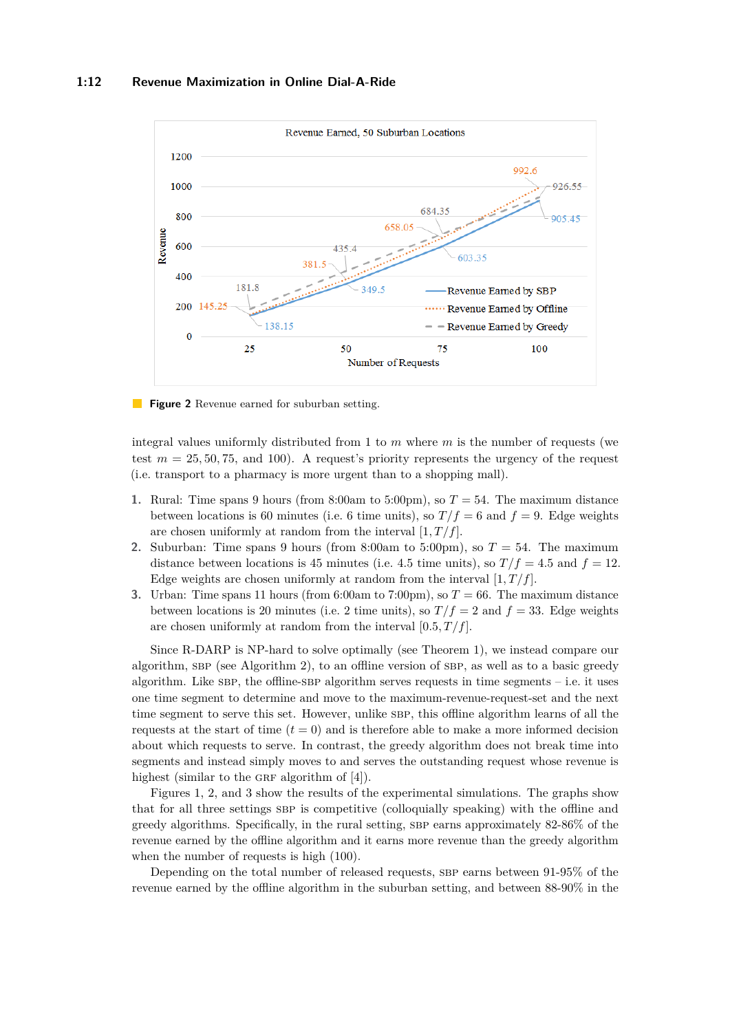<span id="page-11-0"></span>

**Figure 2** Revenue earned for suburban setting.

integral values uniformly distributed from 1 to *m* where *m* is the number of requests (we test  $m = 25, 50, 75,$  and 100). A request's priority represents the urgency of the request (i.e. transport to a pharmacy is more urgent than to a shopping mall).

- **1.** Rural: Time spans 9 hours (from 8:00am to 5:00pm), so  $T = 54$ . The maximum distance between locations is 60 minutes (i.e. 6 time units), so  $T/f = 6$  and  $f = 9$ . Edge weights are chosen uniformly at random from the interval  $[1, T/f]$ .
- **2.** Suburban: Time spans 9 hours (from 8:00am to 5:00pm), so  $T = 54$ . The maximum distance between locations is 45 minutes (i.e. 4.5 time units), so  $T/f = 4.5$  and  $f = 12$ . Edge weights are chosen uniformly at random from the interval  $[1, T/f]$ .
- **3.** Urban: Time spans 11 hours (from 6:00am to 7:00pm), so  $T = 66$ . The maximum distance between locations is 20 minutes (i.e. 2 time units), so  $T/f = 2$  and  $f = 33$ . Edge weights are chosen uniformly at random from the interval  $[0.5, T/f]$ .

Since R-DARP is NP-hard to solve optimally (see Theorem [1\)](#page-2-0), we instead compare our algorithm,  $SBP$  (see Algorithm [2\)](#page-7-0), to an offline version of  $SBP$ , as well as to a basic greedy algorithm. Like  $SBP$ , the offline- $SBP$  algorithm serves requests in time segments – i.e. it uses one time segment to determine and move to the maximum-revenue-request-set and the next time segment to serve this set. However, unlike SBP, this offline algorithm learns of all the requests at the start of time  $(t = 0)$  and is therefore able to make a more informed decision about which requests to serve. In contrast, the greedy algorithm does not break time into segments and instead simply moves to and serves the outstanding request whose revenue is highest (similar to the GRF algorithm of  $[4]$ ).

Figures [1,](#page-10-3) [2,](#page-11-0) and [3](#page-12-0) show the results of the experimental simulations. The graphs show that for all three settings SBP is competitive (colloquially speaking) with the offline and greedy algorithms. Specifically, in the rural setting, sbp earns approximately 82-86% of the revenue earned by the offline algorithm and it earns more revenue than the greedy algorithm when the number of requests is high (100).

Depending on the total number of released requests, SBP earns between 91-95% of the revenue earned by the offline algorithm in the suburban setting, and between 88-90% in the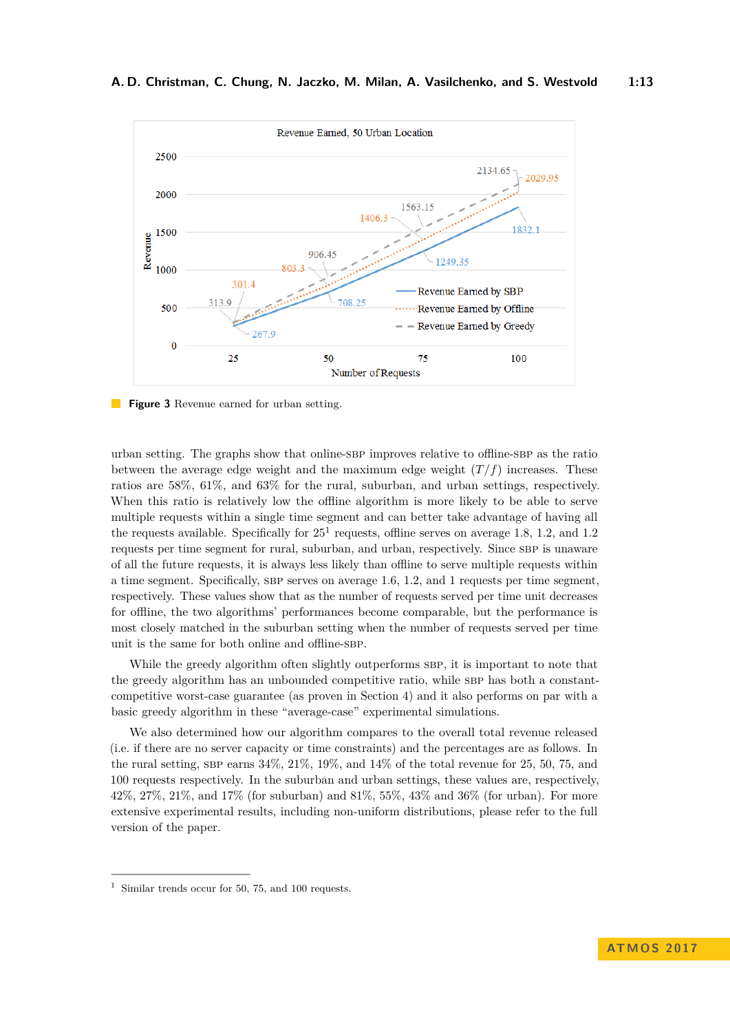<span id="page-12-0"></span>

**Figure 3** Revenue earned for urban setting.

urban setting. The graphs show that online-sbp improves relative to offline-sbp as the ratio between the average edge weight and the maximum edge weight  $(T/f)$  increases. These ratios are 58%, 61%, and 63% for the rural, suburban, and urban settings, respectively. When this ratio is relatively low the offline algorithm is more likely to be able to serve multiple requests within a single time segment and can better take advantage of having all the requests available. Specifically for  $25<sup>1</sup>$  $25<sup>1</sup>$  $25<sup>1</sup>$  requests, offline serves on average 1.8, 1.2, and 1.2 requests per time segment for rural, suburban, and urban, respectively. Since SBP is unaware of all the future requests, it is always less likely than offline to serve multiple requests within a time segment. Specifically, SBP serves on average 1.6, 1.2, and 1 requests per time segment, respectively. These values show that as the number of requests served per time unit decreases for offline, the two algorithms' performances become comparable, but the performance is most closely matched in the suburban setting when the number of requests served per time unit is the same for both online and offline-sbp.

While the greedy algorithm often slightly outperforms SBP, it is important to note that the greedy algorithm has an unbounded competitive ratio, while SBP has both a constantcompetitive worst-case guarantee (as proven in Section [4\)](#page-6-0) and it also performs on par with a basic greedy algorithm in these "average-case" experimental simulations.

We also determined how our algorithm compares to the overall total revenue released (i.e. if there are no server capacity or time constraints) and the percentages are as follows. In the rural setting, SBP earns  $34\%, 21\%, 19\%, \text{ and } 14\%$  of the total revenue for 25, 50, 75, and 100 requests respectively. In the suburban and urban settings, these values are, respectively, 42%, 27%, 21%, and 17% (for suburban) and 81%, 55%, 43% and 36% (for urban). For more extensive experimental results, including non-uniform distributions, please refer to the full version of the paper.

<span id="page-12-1"></span>Similar trends occur for 50, 75, and 100 requests.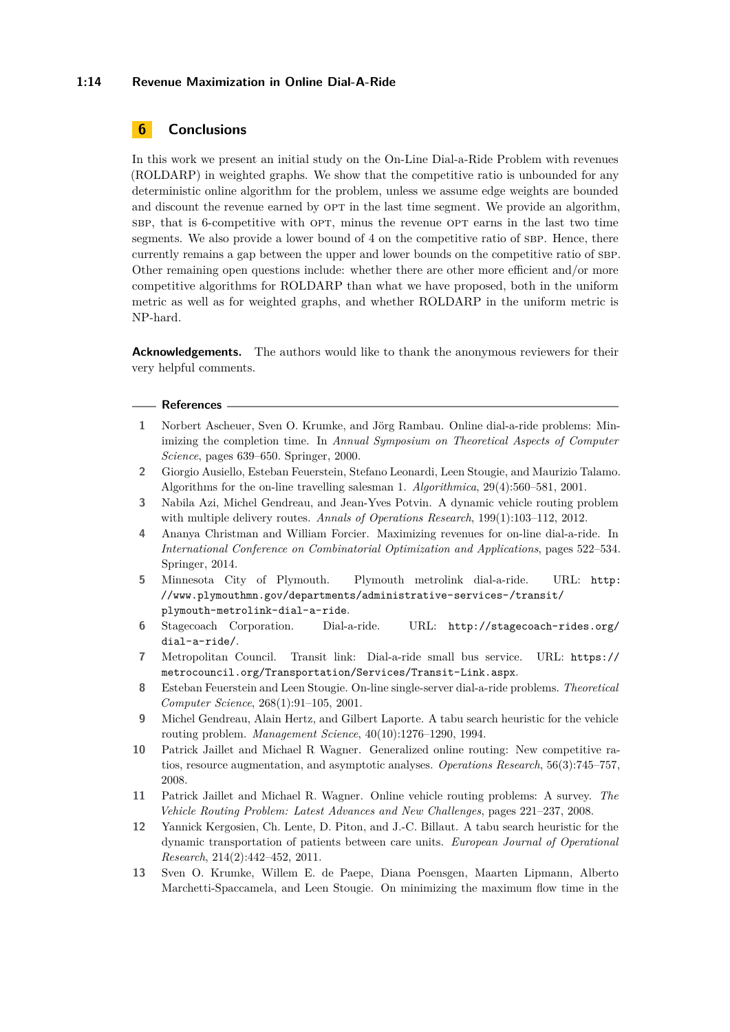#### **1:14 Revenue Maximization in Online Dial-A-Ride**

# **6 Conclusions**

In this work we present an initial study on the On-Line Dial-a-Ride Problem with revenues (ROLDARP) in weighted graphs. We show that the competitive ratio is unbounded for any deterministic online algorithm for the problem, unless we assume edge weights are bounded and discount the revenue earned by OPT in the last time segment. We provide an algorithm, sbp, that is 6-competitive with OPT, minus the revenue OPT earns in the last two time segments. We also provide a lower bound of 4 on the competitive ratio of SBP. Hence, there currently remains a gap between the upper and lower bounds on the competitive ratio of sbp. Other remaining open questions include: whether there are other more efficient and/or more competitive algorithms for ROLDARP than what we have proposed, both in the uniform metric as well as for weighted graphs, and whether ROLDARP in the uniform metric is NP-hard.

**Acknowledgements.** The authors would like to thank the anonymous reviewers for their very helpful comments.

#### **References**

- <span id="page-13-2"></span>**1** Norbert Ascheuer, Sven O. Krumke, and Jörg Rambau. Online dial-a-ride problems: Minimizing the completion time. In *Annual Symposium on Theoretical Aspects of Computer Science*, pages 639–650. Springer, 2000.
- <span id="page-13-4"></span>**2** Giorgio Ausiello, Esteban Feuerstein, Stefano Leonardi, Leen Stougie, and Maurizio Talamo. Algorithms for the on-line travelling salesman 1. *Algorithmica*, 29(4):560–581, 2001.
- <span id="page-13-6"></span>**3** Nabila Azi, Michel Gendreau, and Jean-Yves Potvin. A dynamic vehicle routing problem with multiple delivery routes. *Annals of Operations Research*, 199(1):103–112, 2012.
- <span id="page-13-9"></span>**4** Ananya Christman and William Forcier. Maximizing revenues for on-line dial-a-ride. In *International Conference on Combinatorial Optimization and Applications*, pages 522–534. Springer, 2014.
- <span id="page-13-10"></span>**5** Minnesota City of Plymouth. Plymouth metrolink dial-a-ride. URL: [http:](http://www.plymouthmn.gov/departments/administrative-services-/transit/plymouth-metrolink-dial-a-ride) [//www.plymouthmn.gov/departments/administrative-services-/transit/](http://www.plymouthmn.gov/departments/administrative-services-/transit/plymouth-metrolink-dial-a-ride) [plymouth-metrolink-dial-a-ride](http://www.plymouthmn.gov/departments/administrative-services-/transit/plymouth-metrolink-dial-a-ride).
- <span id="page-13-11"></span>**6** Stagecoach Corporation. Dial-a-ride. URL: [http://stagecoach-rides.org/](http://stagecoach-rides.org/dial-a-ride/) [dial-a-ride/](http://stagecoach-rides.org/dial-a-ride/).
- <span id="page-13-12"></span>**7** Metropolitan Council. Transit link: Dial-a-ride small bus service. URL: [https://](https://metrocouncil.org/Transportation/Services/Transit-Link.aspx) [metrocouncil.org/Transportation/Services/Transit-Link.aspx](https://metrocouncil.org/Transportation/Services/Transit-Link.aspx).
- <span id="page-13-0"></span>**8** Esteban Feuerstein and Leen Stougie. On-line single-server dial-a-ride problems. *Theoretical Computer Science*, 268(1):91–105, 2001.
- <span id="page-13-8"></span>**9** Michel Gendreau, Alain Hertz, and Gilbert Laporte. A tabu search heuristic for the vehicle routing problem. *Management Science*, 40(10):1276–1290, 1994.
- <span id="page-13-3"></span>**10** Patrick Jaillet and Michael R Wagner. Generalized online routing: New competitive ratios, resource augmentation, and asymptotic analyses. *Operations Research*, 56(3):745–757, 2008.
- <span id="page-13-1"></span>**11** Patrick Jaillet and Michael R. Wagner. Online vehicle routing problems: A survey. *The Vehicle Routing Problem: Latest Advances and New Challenges*, pages 221–237, 2008.
- <span id="page-13-7"></span>**12** Yannick Kergosien, Ch. Lente, D. Piton, and J.-C. Billaut. A tabu search heuristic for the dynamic transportation of patients between care units. *European Journal of Operational Research*, 214(2):442–452, 2011.
- <span id="page-13-5"></span>**13** Sven O. Krumke, Willem E. de Paepe, Diana Poensgen, Maarten Lipmann, Alberto Marchetti-Spaccamela, and Leen Stougie. On minimizing the maximum flow time in the